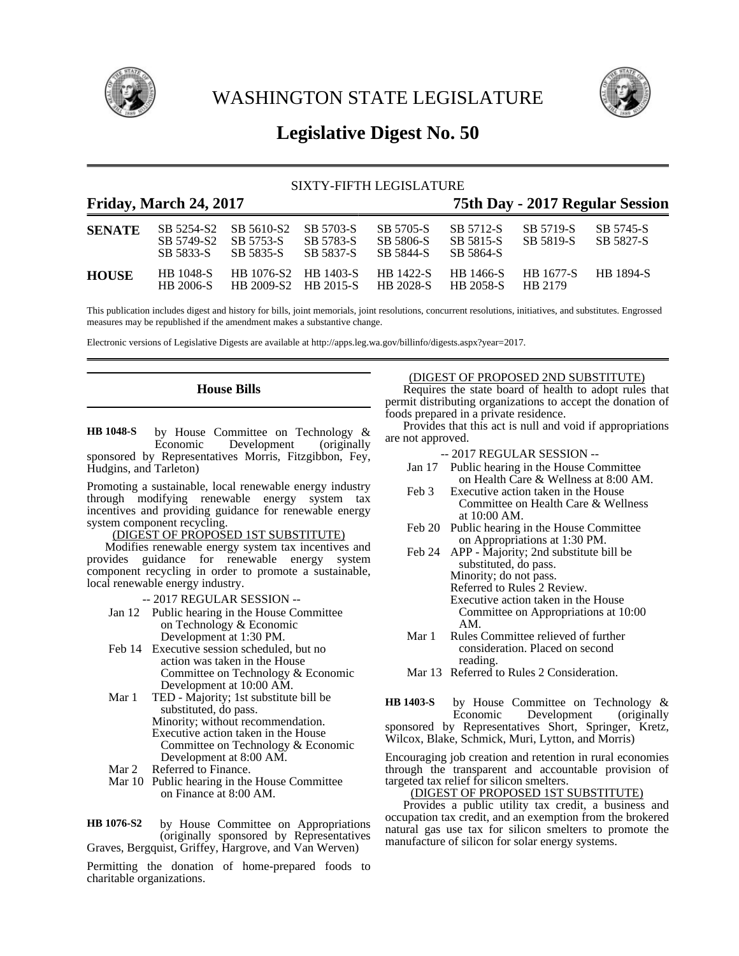

WASHINGTON STATE LEGISLATURE



# **Legislative Digest No. 50**

### SIXTY-FIFTH LEGISLATURE

### **Friday, March 24, 2017 75th Day - 2017 Regular Session**

| <b>SENATE</b> | SB 5749-S2 SB 5753-S<br>SB 5833-S | SB 5254-S2 SB 5610-S2 SB 5703-S<br>SB 5835-S | SB 5783-S<br>SB 5837-S         | SB 5705-S<br>SB 5806-S<br>SB 5844-S | SB 5712-S<br>SB 5815-S<br>SB 5864-S | SB 5719-S<br>SB 5819-S | SB 5745-S<br>SB 5827-S |
|---------------|-----------------------------------|----------------------------------------------|--------------------------------|-------------------------------------|-------------------------------------|------------------------|------------------------|
| <b>HOUSE</b>  | HB 1048-S<br>HB 2006-S            | HB 2009-S2 HB 2015-S                         | HB 1076-S2 HB 1403-S HB 1422-S | <b>HR 2028-S</b>                    | HB 1466-S<br><b>HR 2058-S</b>       | HB 1677-S<br>HB 2179   | <b>HR</b> 1894-S       |

This publication includes digest and history for bills, joint memorials, joint resolutions, concurrent resolutions, initiatives, and substitutes. Engrossed measures may be republished if the amendment makes a substantive change.

Electronic versions of Legislative Digests are available at http://apps.leg.wa.gov/billinfo/digests.aspx?year=2017.

### **House Bills**

by House Committee on Technology &<br>Economic Development (originally Development (originally sponsored by Representatives Morris, Fitzgibbon, Fey, Hudgins, and Tarleton) **HB 1048-S**

Promoting a sustainable, local renewable energy industry through modifying renewable energy system tax incentives and providing guidance for renewable energy system component recycling.

### (DIGEST OF PROPOSED 1ST SUBSTITUTE)

Modifies renewable energy system tax incentives and provides guidance for renewable energy system component recycling in order to promote a sustainable, local renewable energy industry.

-- 2017 REGULAR SESSION --

- Jan 12 Public hearing in the House Committee on Technology & Economic Development at 1:30 PM.
- Feb 14 Executive session scheduled, but no action was taken in the House Committee on Technology & Economic Development at 10:00 AM.
- Mar 1 TED Majority; 1st substitute bill be substituted, do pass. Minority; without recommendation. Executive action taken in the House Committee on Technology & Economic Development at 8:00 AM.
- Mar 2 Referred to Finance.
- Mar 10 Public hearing in the House Committee on Finance at 8:00 AM.

by House Committee on Appropriations (originally sponsored by Representatives Graves, Bergquist, Griffey, Hargrove, and Van Werven) **HB 1076-S2**

Permitting the donation of home-prepared foods to charitable organizations.

### (DIGEST OF PROPOSED 2ND SUBSTITUTE)

Requires the state board of health to adopt rules that permit distributing organizations to accept the donation of foods prepared in a private residence.

Provides that this act is null and void if appropriations are not approved.

- -- 2017 REGULAR SESSION --
- Jan 17 Public hearing in the House Committee on Health Care & Wellness at 8:00 AM.
- Feb 3 Executive action taken in the House Committee on Health Care & Wellness at 10:00 AM.
- Feb 20 Public hearing in the House Committee on Appropriations at 1:30 PM.
- Feb 24 APP Majority; 2nd substitute bill be substituted, do pass. Minority; do not pass. Referred to Rules 2 Review. Executive action taken in the House Committee on Appropriations at 10:00 AM.
- Mar 1 Rules Committee relieved of further consideration. Placed on second reading.
- Mar 13 Referred to Rules 2 Consideration.

by House Committee on Technology &<br>Economic Development (originally Development sponsored by Representatives Short, Springer, Kretz, Wilcox, Blake, Schmick, Muri, Lytton, and Morris) **HB 1403-S**

Encouraging job creation and retention in rural economies through the transparent and accountable provision of targeted tax relief for silicon smelters.

#### (DIGEST OF PROPOSED 1ST SUBSTITUTE)

Provides a public utility tax credit, a business and occupation tax credit, and an exemption from the brokered natural gas use tax for silicon smelters to promote the manufacture of silicon for solar energy systems.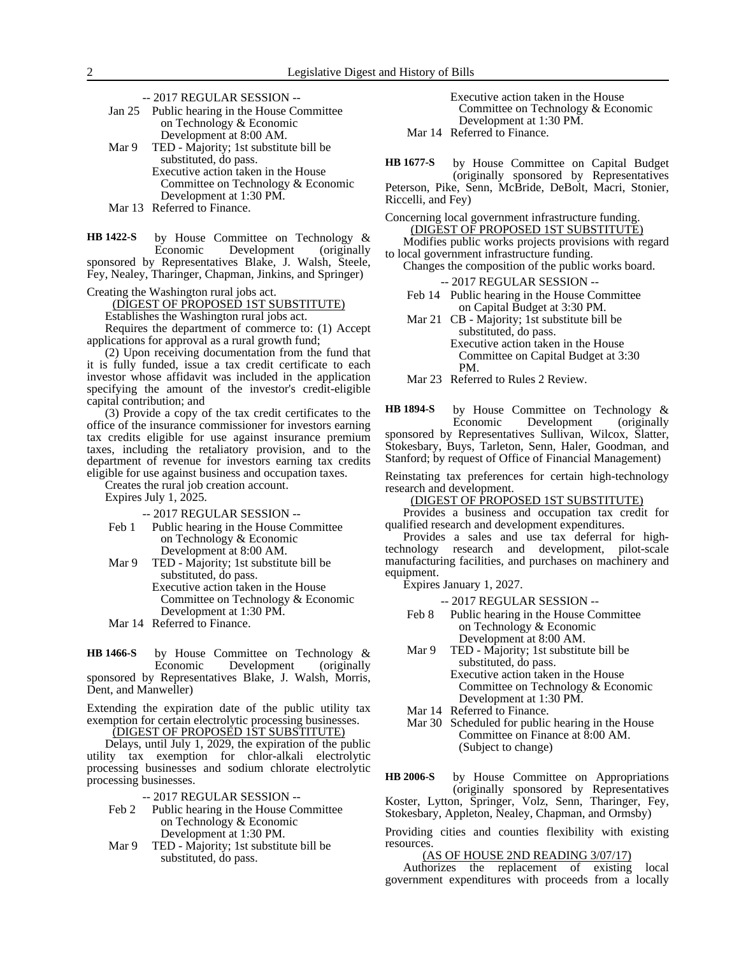-- 2017 REGULAR SESSION --

|       | Jan 25 Public hearing in the House Committee |
|-------|----------------------------------------------|
|       | on Technology & Economic                     |
|       | Development at 8:00 AM.                      |
| Mar 9 | TED - Majority; 1st substitute bill be       |
|       | substituted, do pass.                        |
|       | Executive action taken in the House          |
|       | Committee on Technology & $E_{\text{COMOM}}$ |

Committee on Technology & Economic Development at 1:30 PM. Mar 13 Referred to Finance.

by House Committee on Technology & Economic Development (originally sponsored by Representatives Blake, J. Walsh, Steele, Fey, Nealey, Tharinger, Chapman, Jinkins, and Springer) **HB 1422-S**

Creating the Washington rural jobs act.

(DIGEST OF PROPOSED 1ST SUBSTITUTE)

Establishes the Washington rural jobs act.

Requires the department of commerce to: (1) Accept applications for approval as a rural growth fund;

(2) Upon receiving documentation from the fund that it is fully funded, issue a tax credit certificate to each investor whose affidavit was included in the application specifying the amount of the investor's credit-eligible capital contribution; and

(3) Provide a copy of the tax credit certificates to the office of the insurance commissioner for investors earning tax credits eligible for use against insurance premium taxes, including the retaliatory provision, and to the department of revenue for investors earning tax credits eligible for use against business and occupation taxes.

Creates the rural job creation account.

Expires July 1, 2025.

-- 2017 REGULAR SESSION --

- Feb 1 Public hearing in the House Committee on Technology & Economic Development at 8:00 AM.
- Mar 9 TED Majority; 1st substitute bill be substituted, do pass.
	- Executive action taken in the House Committee on Technology & Economic Development at 1:30 PM.
- Mar 14 Referred to Finance.

by House Committee on Technology &<br>Economic Development (originally Development (originally sponsored by Representatives Blake, J. Walsh, Morris, Dent, and Manweller) **HB 1466-S**

Extending the expiration date of the public utility tax exemption for certain electrolytic processing businesses. (DIGEST OF PROPOSED 1ST SUBSTITUTE)

Delays, until July 1, 2029, the expiration of the public utility tax exemption for chlor-alkali electrolytic processing businesses and sodium chlorate electrolytic processing businesses.

-- 2017 REGULAR SESSION --

- Feb 2 Public hearing in the House Committee on Technology & Economic Development at 1:30 PM.
- Mar 9 TED Majority; 1st substitute bill be substituted, do pass.

Executive action taken in the House Committee on Technology & Economic Development at 1:30 PM. Mar 14 Referred to Finance.

by House Committee on Capital Budget (originally sponsored by Representatives Peterson, Pike, Senn, McBride, DeBolt, Macri, Stonier, **HB 1677-S**

Riccelli, and Fey)

Concerning local government infrastructure funding. (DIGEST OF PROPOSED 1ST SUBSTITUTE)

Modifies public works projects provisions with regard to local government infrastructure funding.

Changes the composition of the public works board. -- 2017 REGULAR SESSION --

Feb 14 Public hearing in the House Committee

on Capital Budget at 3:30 PM.

Mar 21 CB - Majority; 1st substitute bill be substituted, do pass. Executive action taken in the House Committee on Capital Budget at 3:30 PM.

Mar 23 Referred to Rules 2 Review.

by House Committee on Technology & Economic Development (originally sponsored by Representatives Sullivan, Wilcox, Slatter, Stokesbary, Buys, Tarleton, Senn, Haler, Goodman, and Stanford; by request of Office of Financial Management) **HB 1894-S**

Reinstating tax preferences for certain high-technology research and development.

(DIGEST OF PROPOSED 1ST SUBSTITUTE)

Provides a business and occupation tax credit for qualified research and development expenditures.

Provides a sales and use tax deferral for hightechnology research and development, pilot-scale manufacturing facilities, and purchases on machinery and equipment.

Expires January 1, 2027.

-- 2017 REGULAR SESSION --

- Feb 8 Public hearing in the House Committee on Technology & Economic Development at 8:00 AM.
- Mar 9 TED Majority; 1st substitute bill be substituted, do pass. Executive action taken in the House

Committee on Technology & Economic Development at 1:30 PM.

- Mar 14 Referred to Finance.
- Mar 30 Scheduled for public hearing in the House Committee on Finance at 8:00 AM. (Subject to change)

by House Committee on Appropriations (originally sponsored by Representatives Koster, Lytton, Springer, Volz, Senn, Tharinger, Fey, Stokesbary, Appleton, Nealey, Chapman, and Ormsby) **HB 2006-S**

Providing cities and counties flexibility with existing resources.

(AS OF HOUSE 2ND READING 3/07/17)

Authorizes the replacement of existing local government expenditures with proceeds from a locally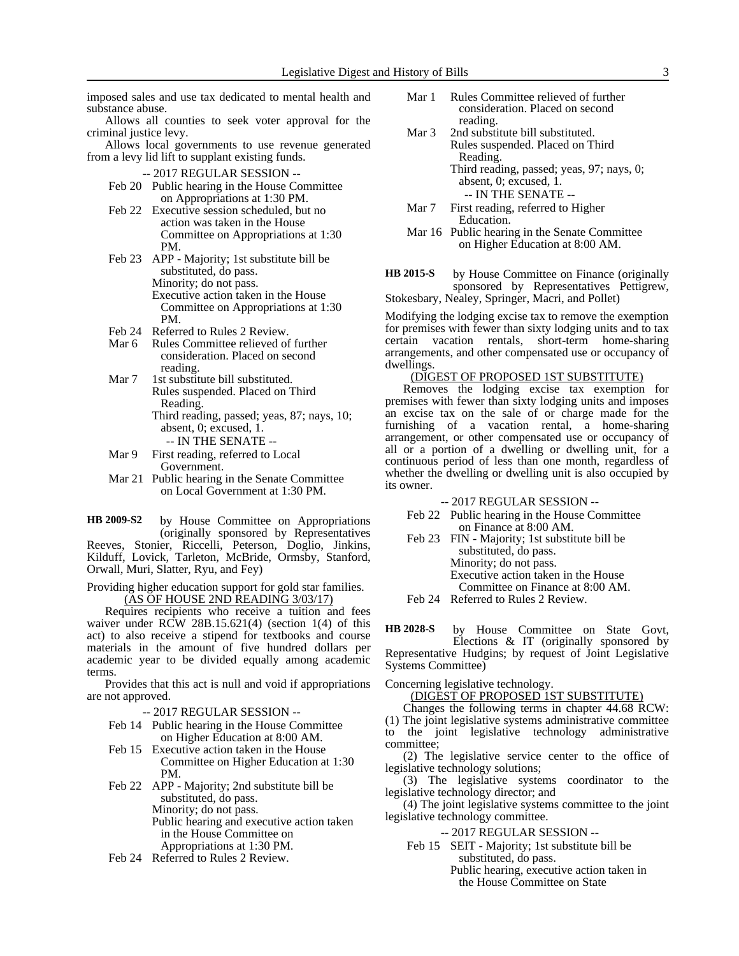imposed sales and use tax dedicated to mental health and substance abuse.

Allows all counties to seek voter approval for the criminal justice levy.

Allows local governments to use revenue generated from a levy lid lift to supplant existing funds.

- -- 2017 REGULAR SESSION --
- Feb 20 Public hearing in the House Committee on Appropriations at 1:30 PM.
- Feb 22 Executive session scheduled, but no action was taken in the House Committee on Appropriations at 1:30 PM.
- Feb 23 APP Majority; 1st substitute bill be substituted, do pass. Minority; do not pass. Executive action taken in the House Committee on Appropriations at 1:30 PM.
- Feb 24 Referred to Rules 2 Review.<br>Mar 6 Rules Committee relieved of
- Rules Committee relieved of further consideration. Placed on second reading.
- Mar 7 1st substitute bill substituted. Rules suspended. Placed on Third Reading.
	- Third reading, passed; yeas, 87; nays, 10; absent, 0; excused, 1. -- IN THE SENATE --
- Mar 9 First reading, referred to Local Government.
- Mar 21 Public hearing in the Senate Committee on Local Government at 1:30 PM.

by House Committee on Appropriations (originally sponsored by Representatives Reeves, Stonier, Riccelli, Peterson, Doglio, Jinkins, Kilduff, Lovick, Tarleton, McBride, Ormsby, Stanford, Orwall, Muri, Slatter, Ryu, and Fey) **HB 2009-S2**

Providing higher education support for gold star families. (AS OF HOUSE 2ND READING 3/03/17)

Requires recipients who receive a tuition and fees waiver under RCW 28B.15.621(4) (section  $1(4)$  of this act) to also receive a stipend for textbooks and course materials in the amount of five hundred dollars per academic year to be divided equally among academic terms.

Provides that this act is null and void if appropriations are not approved.

-- 2017 REGULAR SESSION --

- Feb 14 Public hearing in the House Committee on Higher Education at 8:00 AM.
- Feb 15 Executive action taken in the House Committee on Higher Education at 1:30 PM.
- Feb 22 APP Majority; 2nd substitute bill be substituted, do pass. Minority; do not pass. Public hearing and executive action taken
	- in the House Committee on
	- Appropriations at 1:30 PM.
- Feb 24 Referred to Rules 2 Review.
- Mar 1 Rules Committee relieved of further consideration. Placed on second reading.
- Mar 3 2nd substitute bill substituted. Rules suspended. Placed on Third Reading. Third reading, passed; yeas, 97; nays, 0; absent, 0; excused, 1. -- IN THE SENATE --
- Mar 7 First reading, referred to Higher Education.
- Mar 16 Public hearing in the Senate Committee on Higher Education at 8:00 AM.

by House Committee on Finance (originally sponsored by Representatives Pettigrew, Stokesbary, Nealey, Springer, Macri, and Pollet) **HB 2015-S**

Modifying the lodging excise tax to remove the exemption for premises with fewer than sixty lodging units and to tax certain vacation rentals, short-term home-sharing arrangements, and other compensated use or occupancy of dwellings.

### (DIGEST OF PROPOSED 1ST SUBSTITUTE)

Removes the lodging excise tax exemption for premises with fewer than sixty lodging units and imposes an excise tax on the sale of or charge made for the furnishing of a vacation rental, a home-sharing arrangement, or other compensated use or occupancy of all or a portion of a dwelling or dwelling unit, for a continuous period of less than one month, regardless of whether the dwelling or dwelling unit is also occupied by its owner.

-- 2017 REGULAR SESSION --

- Feb 22 Public hearing in the House Committee on Finance at 8:00 AM.
- Feb 23 FIN Majority; 1st substitute bill be substituted, do pass. Minority; do not pass. Executive action taken in the House Committee on Finance at 8:00 AM.
- Feb 24 Referred to Rules 2 Review.

by House Committee on State Govt, Elections & IT (originally sponsored by Representative Hudgins; by request of Joint Legislative Systems Committee) **HB 2028-S**

Concerning legislative technology.

(DIGEST OF PROPOSED 1ST SUBSTITUTE)

Changes the following terms in chapter 44.68 RCW:

(1) The joint legislative systems administrative committee to the joint legislative technology administrative committee;

(2) The legislative service center to the office of legislative technology solutions;

(3) The legislative systems coordinator to the legislative technology director; and

(4) The joint legislative systems committee to the joint legislative technology committee.

- -- 2017 REGULAR SESSION --
- Feb 15 SEIT Majority; 1st substitute bill be substituted, do pass. Public hearing, executive action taken in the House Committee on State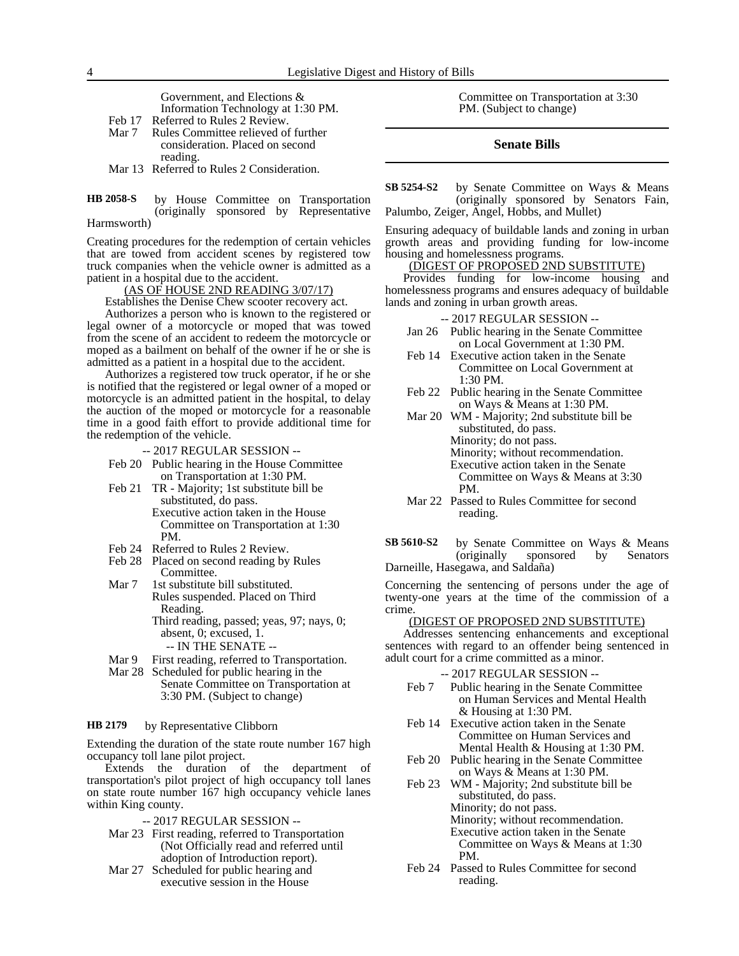Government, and Elections & Information Technology at 1:30 PM. Feb 17 Referred to Rules 2 Review.

- Mar 7 Rules Committee relieved of further consideration. Placed on second reading.
- Mar 13 Referred to Rules 2 Consideration.

#### by House Committee on Transportation (originally sponsored by Representative Harmsworth) **HB 2058-S**

Creating procedures for the redemption of certain vehicles that are towed from accident scenes by registered tow truck companies when the vehicle owner is admitted as a patient in a hospital due to the accident.

#### (AS OF HOUSE 2ND READING 3/07/17)

Establishes the Denise Chew scooter recovery act.

Authorizes a person who is known to the registered or legal owner of a motorcycle or moped that was towed from the scene of an accident to redeem the motorcycle or moped as a bailment on behalf of the owner if he or she is admitted as a patient in a hospital due to the accident.

Authorizes a registered tow truck operator, if he or she is notified that the registered or legal owner of a moped or motorcycle is an admitted patient in the hospital, to delay the auction of the moped or motorcycle for a reasonable time in a good faith effort to provide additional time for the redemption of the vehicle.

- -- 2017 REGULAR SESSION --
- Feb 20 Public hearing in the House Committee on Transportation at 1:30 PM.
- Feb 21 TR Majority; 1st substitute bill be substituted, do pass. Executive action taken in the House Committee on Transportation at 1:30 PM.
- Feb 24 Referred to Rules 2 Review.
- Feb 28 Placed on second reading by Rules Committee.
- Mar 7 1st substitute bill substituted. Rules suspended. Placed on Third Reading. Third reading, passed; yeas, 97; nays, 0; absent, 0; excused, 1.
	- -- IN THE SENATE --
- Mar 9 First reading, referred to Transportation.
- Mar 28 Scheduled for public hearing in the Senate Committee on Transportation at 3:30 PM. (Subject to change)

#### by Representative Clibborn **HB 2179**

Extending the duration of the state route number 167 high occupancy toll lane pilot project.

Extends the duration of the department of transportation's pilot project of high occupancy toll lanes on state route number 167 high occupancy vehicle lanes within King county.

-- 2017 REGULAR SESSION --

- Mar 23 First reading, referred to Transportation (Not Officially read and referred until adoption of Introduction report).
- Mar 27 Scheduled for public hearing and executive session in the House

Committee on Transportation at 3:30 PM. (Subject to change)

### **Senate Bills**

by Senate Committee on Ways & Means (originally sponsored by Senators Fain, Palumbo, Zeiger, Angel, Hobbs, and Mullet) **SB 5254-S2**

Ensuring adequacy of buildable lands and zoning in urban growth areas and providing funding for low-income housing and homelessness programs.

### (DIGEST OF PROPOSED 2ND SUBSTITUTE)

Provides funding for low-income housing and homelessness programs and ensures adequacy of buildable lands and zoning in urban growth areas.

-- 2017 REGULAR SESSION --

- Jan 26 Public hearing in the Senate Committee on Local Government at 1:30 PM.
- Feb 14 Executive action taken in the Senate Committee on Local Government at  $1:30 \text{ PM}$
- Feb 22 Public hearing in the Senate Committee on Ways & Means at 1:30 PM.
- Mar 20 WM Majority; 2nd substitute bill be substituted, do pass. Minority; do not pass. Minority; without recommendation. Executive action taken in the Senate Committee on Ways & Means at 3:30 PM.
- Mar 22 Passed to Rules Committee for second reading.
- by Senate Committee on Ways & Means (originally sponsored by Senators Darneille, Hasegawa, and Saldaña) **SB 5610-S2**

Concerning the sentencing of persons under the age of twenty-one years at the time of the commission of a crime.

### (DIGEST OF PROPOSED 2ND SUBSTITUTE)

Addresses sentencing enhancements and exceptional sentences with regard to an offender being sentenced in adult court for a crime committed as a minor.

- -- 2017 REGULAR SESSION --
- Feb 7 Public hearing in the Senate Committee on Human Services and Mental Health & Housing at 1:30 PM.
- Feb 14 Executive action taken in the Senate Committee on Human Services and Mental Health & Housing at 1:30 PM.
- Feb 20 Public hearing in the Senate Committee on Ways & Means at 1:30 PM.
- Feb 23 WM Majority; 2nd substitute bill be substituted, do pass. Minority; do not pass. Minority; without recommendation. Executive action taken in the Senate

Committee on Ways & Means at 1:30 PM.

Feb 24 Passed to Rules Committee for second reading.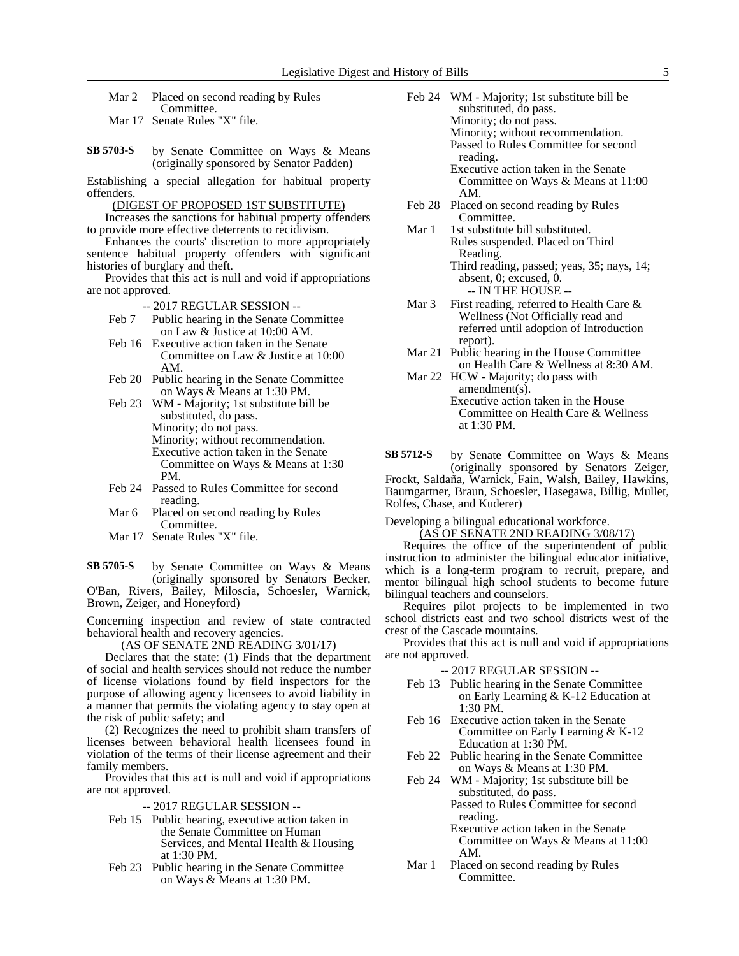Mar 2 Placed on second reading by Rules Committee.

Mar 17 Senate Rules "X" file.

by Senate Committee on Ways & Means (originally sponsored by Senator Padden) **SB 5703-S**

Establishing a special allegation for habitual property offenders.

(DIGEST OF PROPOSED 1ST SUBSTITUTE)

Increases the sanctions for habitual property offenders to provide more effective deterrents to recidivism.

Enhances the courts' discretion to more appropriately sentence habitual property offenders with significant histories of burglary and theft.

Provides that this act is null and void if appropriations are not approved.

-- 2017 REGULAR SESSION --

- Feb 7 Public hearing in the Senate Committee on Law & Justice at 10:00 AM.
- Feb 16 Executive action taken in the Senate Committee on Law & Justice at 10:00 AM.
- Feb 20 Public hearing in the Senate Committee on Ways & Means at 1:30 PM.
- Feb 23 WM Majority; 1st substitute bill be substituted, do pass. Minority; do not pass. Minority; without recommendation. Executive action taken in the Senate Committee on Ways & Means at 1:30 PM.
- Feb 24 Passed to Rules Committee for second reading.
- Mar 6 Placed on second reading by Rules Committee.
- Mar 17 Senate Rules "X" file.

by Senate Committee on Ways & Means (originally sponsored by Senators Becker, O'Ban, Rivers, Bailey, Miloscia, Schoesler, Warnick, Brown, Zeiger, and Honeyford) **SB 5705-S**

Concerning inspection and review of state contracted behavioral health and recovery agencies.

(AS OF SENATE 2ND READING 3/01/17)

Declares that the state: (1) Finds that the department of social and health services should not reduce the number of license violations found by field inspectors for the purpose of allowing agency licensees to avoid liability in a manner that permits the violating agency to stay open at the risk of public safety; and

(2) Recognizes the need to prohibit sham transfers of licenses between behavioral health licensees found in violation of the terms of their license agreement and their family members.

Provides that this act is null and void if appropriations are not approved.

-- 2017 REGULAR SESSION --

- Feb 15 Public hearing, executive action taken in the Senate Committee on Human Services, and Mental Health & Housing at 1:30 PM.
- Feb 23 Public hearing in the Senate Committee on Ways & Means at 1:30 PM.
- Feb 24 WM Majority; 1st substitute bill be substituted, do pass. Minority; do not pass. Minority; without recommendation. Passed to Rules Committee for second reading. Executive action taken in the Senate
	- Committee on Ways & Means at 11:00 AM.
- Feb 28 Placed on second reading by Rules Committee.
- Mar 1 1st substitute bill substituted. Rules suspended. Placed on Third Reading. Third reading, passed; yeas, 35; nays, 14; absent, 0; excused, 0.
	- -- IN THE HOUSE --
- Mar 3 First reading, referred to Health Care & Wellness (Not Officially read and referred until adoption of Introduction report).
- Mar 21 Public hearing in the House Committee on Health Care & Wellness at 8:30 AM.
- Mar 22 HCW Majority; do pass with amendment(s). Executive action taken in the House Committee on Health Care & Wellness at 1:30 PM.

by Senate Committee on Ways & Means (originally sponsored by Senators Zeiger, Frockt, Saldaña, Warnick, Fain, Walsh, Bailey, Hawkins, Baumgartner, Braun, Schoesler, Hasegawa, Billig, Mullet, Rolfes, Chase, and Kuderer) **SB 5712-S**

Developing a bilingual educational workforce.

(AS OF SENATE 2ND READING 3/08/17) Requires the office of the superintendent of public instruction to administer the bilingual educator initiative, which is a long-term program to recruit, prepare, and mentor bilingual high school students to become future bilingual teachers and counselors.

Requires pilot projects to be implemented in two school districts east and two school districts west of the crest of the Cascade mountains.

Provides that this act is null and void if appropriations are not approved.

- -- 2017 REGULAR SESSION --
- Feb 13 Public hearing in the Senate Committee on Early Learning & K-12 Education at 1:30 PM.
- Feb 16 Executive action taken in the Senate Committee on Early Learning & K-12 Education at 1:30 PM.
- Feb 22 Public hearing in the Senate Committee on Ways & Means at 1:30 PM.
- Feb 24 WM Majority; 1st substitute bill be substituted, do pass.

Passed to Rules Committee for second reading.

- Executive action taken in the Senate Committee on Ways & Means at 11:00 AM.
- Mar 1 Placed on second reading by Rules Committee.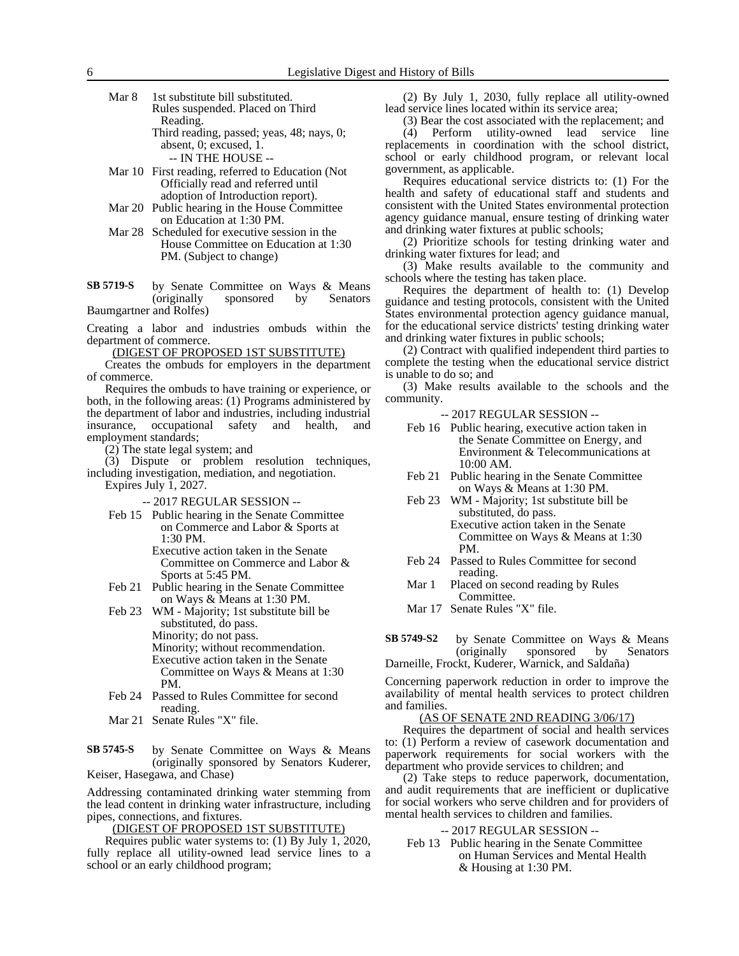Mar 8 1st substitute bill substituted. Rules suspended. Placed on Third Reading. Third reading, passed; yeas, 48; nays, 0; absent, 0; excused, 1.

-- IN THE HOUSE --

- Mar 10 First reading, referred to Education (Not Officially read and referred until adoption of Introduction report).
- Mar 20 Public hearing in the House Committee on Education at 1:30 PM.
- Mar 28 Scheduled for executive session in the House Committee on Education at 1:30 PM. (Subject to change)
- by Senate Committee on Ways & Means (originally sponsored by Senators Baumgartner and Rolfes) **SB 5719-S**

Creating a labor and industries ombuds within the department of commerce.

(DIGEST OF PROPOSED 1ST SUBSTITUTE)

Creates the ombuds for employers in the department of commerce.

Requires the ombuds to have training or experience, or both, in the following areas: (1) Programs administered by the department of labor and industries, including industrial<br>insurance, occupational safety and health, and insurance, occupational safety and health, and employment standards;

(2) The state legal system; and

(3) Dispute or problem resolution techniques, including investigation, mediation, and negotiation.

Expires July 1, 2027.

- -- 2017 REGULAR SESSION --
- Feb 15 Public hearing in the Senate Committee on Commerce and Labor & Sports at 1:30 PM.
	- Executive action taken in the Senate Committee on Commerce and Labor & Sports at 5:45 PM.
- Feb 21 Public hearing in the Senate Committee on Ways & Means at 1:30 PM.
- Feb 23 WM Majority; 1st substitute bill be substituted, do pass. Minority; do not pass. Minority; without recommendation. Executive action taken in the Senate Committee on Ways & Means at 1:30 PM.
- Feb 24 Passed to Rules Committee for second reading.
- Mar 21 Senate Rules "X" file.

by Senate Committee on Ways & Means (originally sponsored by Senators Kuderer, Keiser, Hasegawa, and Chase) **SB 5745-S**

Addressing contaminated drinking water stemming from the lead content in drinking water infrastructure, including pipes, connections, and fixtures.

(DIGEST OF PROPOSED 1ST SUBSTITUTE)

Requires public water systems to: (1) By July 1, 2020, fully replace all utility-owned lead service lines to a school or an early childhood program;

(2) By July 1, 2030, fully replace all utility-owned lead service lines located within its service area;

(3) Bear the cost associated with the replacement; and

(4) Perform utility-owned lead service line replacements in coordination with the school district, school or early childhood program, or relevant local government, as applicable.

Requires educational service districts to: (1) For the health and safety of educational staff and students and consistent with the United States environmental protection agency guidance manual, ensure testing of drinking water and drinking water fixtures at public schools;

(2) Prioritize schools for testing drinking water and drinking water fixtures for lead; and

(3) Make results available to the community and schools where the testing has taken place.

Requires the department of health to: (1) Develop guidance and testing protocols, consistent with the United States environmental protection agency guidance manual, for the educational service districts' testing drinking water and drinking water fixtures in public schools;

(2) Contract with qualified independent third parties to complete the testing when the educational service district is unable to do so; and

(3) Make results available to the schools and the community.

-- 2017 REGULAR SESSION --

- Feb 16 Public hearing, executive action taken in the Senate Committee on Energy, and Environment & Telecommunications at 10:00 AM.
- Feb 21 Public hearing in the Senate Committee on Ways & Means at 1:30 PM.
- Feb 23 WM Majority; 1st substitute bill be substituted, do pass. Executive action taken in the Senate Committee on Ways & Means at 1:30 PM.
- Feb 24 Passed to Rules Committee for second reading.
- Mar 1 Placed on second reading by Rules Committee.

Mar 17 Senate Rules "X" file.

by Senate Committee on Ways & Means (originally sponsored by Senators Darneille, Frockt, Kuderer, Warnick, and Saldaña) **SB 5749-S2**

Concerning paperwork reduction in order to improve the availability of mental health services to protect children and families.

### (AS OF SENATE 2ND READING 3/06/17)

Requires the department of social and health services to: (1) Perform a review of casework documentation and paperwork requirements for social workers with the department who provide services to children; and

(2) Take steps to reduce paperwork, documentation, and audit requirements that are inefficient or duplicative for social workers who serve children and for providers of mental health services to children and families.

-- 2017 REGULAR SESSION --

Feb 13 Public hearing in the Senate Committee on Human Services and Mental Health & Housing at 1:30 PM.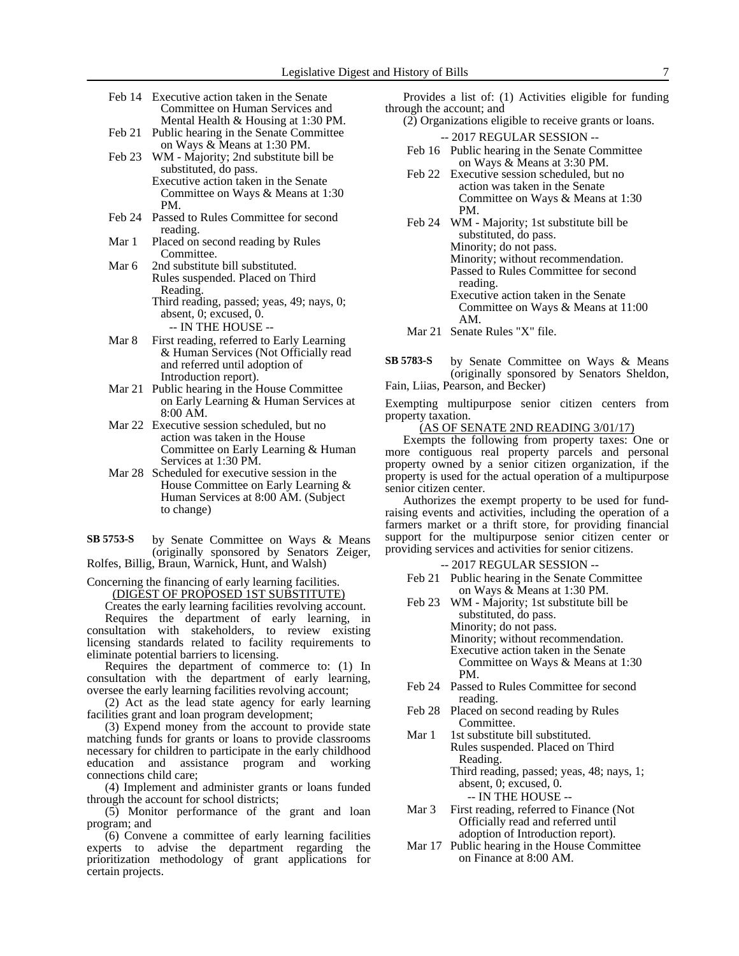- Feb 14 Executive action taken in the Senate Committee on Human Services and Mental Health & Housing at 1:30 PM.
- Feb 21 Public hearing in the Senate Committee on Ways & Means at 1:30 PM.
- Feb 23 WM Majority; 2nd substitute bill be substituted, do pass. Executive action taken in the Senate Committee on Ways & Means at 1:30
- PM. Feb 24 Passed to Rules Committee for second reading.
- Mar 1 Placed on second reading by Rules Committee.
- Mar 6 2nd substitute bill substituted. Rules suspended. Placed on Third Reading. Third reading, passed; yeas, 49; nays, 0; absent, 0; excused, 0.
	- -- IN THE HOUSE --
- Mar 8 First reading, referred to Early Learning & Human Services (Not Officially read and referred until adoption of Introduction report).
- Mar 21 Public hearing in the House Committee on Early Learning & Human Services at 8:00 AM.
- Mar 22 Executive session scheduled, but no action was taken in the House Committee on Early Learning & Human Services at 1:30 PM.
- Mar 28 Scheduled for executive session in the House Committee on Early Learning & Human Services at 8:00 AM. (Subject to change)
- by Senate Committee on Ways & Means (originally sponsored by Senators Zeiger, Rolfes, Billig, Braun, Warnick, Hunt, and Walsh) **SB 5753-S**

Concerning the financing of early learning facilities. (DIGEST OF PROPOSED 1ST SUBSTITUTE)

Creates the early learning facilities revolving account.

Requires the department of early learning, in consultation with stakeholders, to review existing licensing standards related to facility requirements to eliminate potential barriers to licensing.

Requires the department of commerce to: (1) In consultation with the department of early learning, oversee the early learning facilities revolving account;

(2) Act as the lead state agency for early learning facilities grant and loan program development;

(3) Expend money from the account to provide state matching funds for grants or loans to provide classrooms necessary for children to participate in the early childhood education and assistance program and working connections child care;

(4) Implement and administer grants or loans funded through the account for school districts;

(5) Monitor performance of the grant and loan program; and

(6) Convene a committee of early learning facilities experts to advise the department regarding the prioritization methodology of grant applications for certain projects.

Provides a list of: (1) Activities eligible for funding through the account; and

(2) Organizations eligible to receive grants or loans.

- -- 2017 REGULAR SESSION -- Feb 16 Public hearing in the Senate Committee
- on Ways & Means at 3:30 PM. Feb 22 Executive session scheduled, but no action was taken in the Senate Committee on Ways & Means at 1:30 PM.
- Feb 24 WM Majority; 1st substitute bill be substituted, do pass. Minority; do not pass. Minority; without recommendation. Passed to Rules Committee for second reading. Executive action taken in the Senate Committee on Ways & Means at 11:00
- Mar 21 Senate Rules "X" file.

AM.

by Senate Committee on Ways & Means (originally sponsored by Senators Sheldon, Fain, Liias, Pearson, and Becker) **SB 5783-S**

Exempting multipurpose senior citizen centers from property taxation.

(AS OF SENATE 2ND READING 3/01/17)

Exempts the following from property taxes: One or more contiguous real property parcels and personal property owned by a senior citizen organization, if the property is used for the actual operation of a multipurpose senior citizen center.

Authorizes the exempt property to be used for fundraising events and activities, including the operation of a farmers market or a thrift store, for providing financial support for the multipurpose senior citizen center or providing services and activities for senior citizens.

-- 2017 REGULAR SESSION --

- Feb 21 Public hearing in the Senate Committee on Ways & Means at 1:30 PM.
- Feb 23 WM Majority; 1st substitute bill be substituted, do pass. Minority; do not pass. Minority; without recommendation. Executive action taken in the Senate Committee on Ways & Means at 1:30 PM.
- Feb 24 Passed to Rules Committee for second reading.
- Feb 28 Placed on second reading by Rules Committee.
- Mar 1 1st substitute bill substituted. Rules suspended. Placed on Third Reading.

Third reading, passed; yeas, 48; nays, 1; absent, 0; excused, 0. -- IN THE HOUSE --

- Mar 3 First reading, referred to Finance (Not Officially read and referred until adoption of Introduction report).
- Mar 17 Public hearing in the House Committee on Finance at 8:00 AM.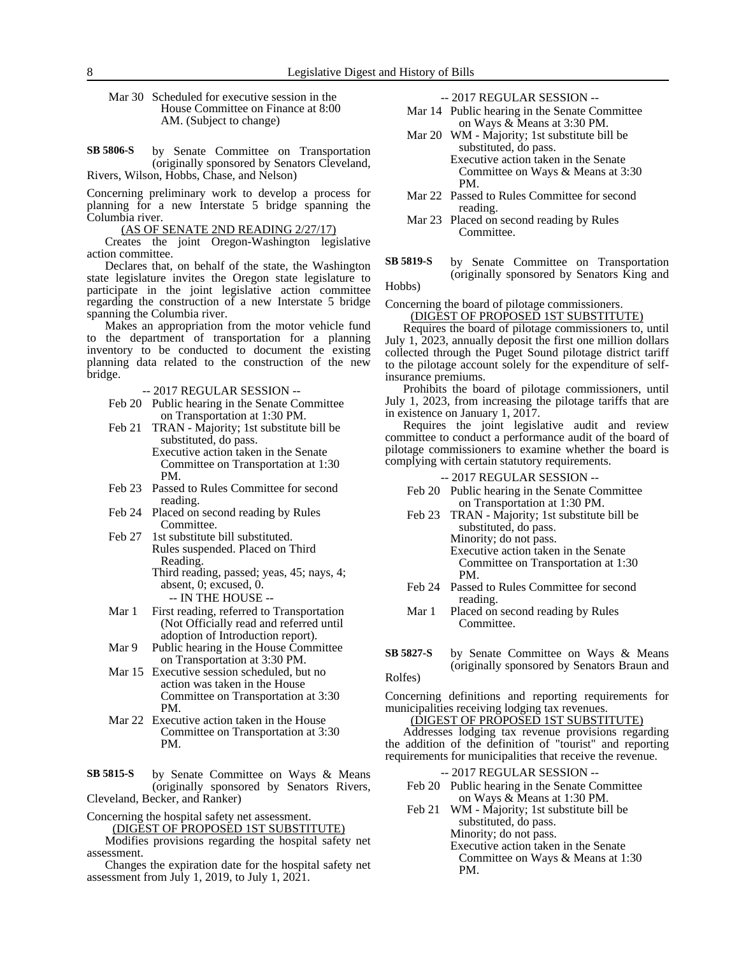Mar 30 Scheduled for executive session in the House Committee on Finance at 8:00 AM. (Subject to change)

by Senate Committee on Transportation (originally sponsored by Senators Cleveland, Rivers, Wilson, Hobbs, Chase, and Nelson) **SB 5806-S**

Concerning preliminary work to develop a process for planning for a new Interstate 5 bridge spanning the Columbia river.

(AS OF SENATE 2ND READING 2/27/17)

Creates the joint Oregon-Washington legislative action committee.

Declares that, on behalf of the state, the Washington state legislature invites the Oregon state legislature to participate in the joint legislative action committee regarding the construction of a new Interstate 5 bridge spanning the Columbia river.

Makes an appropriation from the motor vehicle fund to the department of transportation for a planning inventory to be conducted to document the existing planning data related to the construction of the new bridge.

-- 2017 REGULAR SESSION --

- Feb 20 Public hearing in the Senate Committee on Transportation at 1:30 PM.
- Feb 21 TRAN Majority; 1st substitute bill be substituted, do pass. Executive action taken in the Senate Committee on Transportation at 1:30 PM.
- Feb 23 Passed to Rules Committee for second reading.
- Feb 24 Placed on second reading by Rules Committee.
- Feb 27 1st substitute bill substituted. Rules suspended. Placed on Third Reading.
	- Third reading, passed; yeas, 45; nays, 4; absent, 0; excused, 0. -- IN THE HOUSE --
- Mar 1 First reading, referred to Transportation (Not Officially read and referred until adoption of Introduction report).
- Mar 9 Public hearing in the House Committee on Transportation at 3:30 PM.
- Mar 15 Executive session scheduled, but no action was taken in the House Committee on Transportation at 3:30 PM.
- Mar 22 Executive action taken in the House Committee on Transportation at 3:30 PM.

by Senate Committee on Ways & Means (originally sponsored by Senators Rivers, Cleveland, Becker, and Ranker) **SB 5815-S**

Concerning the hospital safety net assessment.

(DIGEST OF PROPOSED 1ST SUBSTITUTE)

Modifies provisions regarding the hospital safety net assessment.

Changes the expiration date for the hospital safety net assessment from July 1, 2019, to July 1, 2021.

-- 2017 REGULAR SESSION --

- Mar 14 Public hearing in the Senate Committee on Ways & Means at 3:30 PM.
- Mar 20 WM Majority; 1st substitute bill be substituted, do pass. Executive action taken in the Senate

Committee on Ways & Means at 3:30 PM.

- Mar 22 Passed to Rules Committee for second reading.
- Mar 23 Placed on second reading by Rules Committee.
- by Senate Committee on Transportation (originally sponsored by Senators King and **SB 5819-S**

Hobbs)

## Concerning the board of pilotage commissioners.

(DIGEST OF PROPOSED 1ST SUBSTITUTE) Requires the board of pilotage commissioners to, until

July 1, 2023, annually deposit the first one million dollars collected through the Puget Sound pilotage district tariff to the pilotage account solely for the expenditure of selfinsurance premiums.

Prohibits the board of pilotage commissioners, until July 1, 2023, from increasing the pilotage tariffs that are in existence on January 1, 2017.

Requires the joint legislative audit and review committee to conduct a performance audit of the board of pilotage commissioners to examine whether the board is complying with certain statutory requirements.

-- 2017 REGULAR SESSION --

- Feb 20 Public hearing in the Senate Committee on Transportation at 1:30 PM.
- Feb 23 TRAN Majority; 1st substitute bill be substituted, do pass. Minority; do not pass. Executive action taken in the Senate Committee on Transportation at 1:30 PM.
- Feb 24 Passed to Rules Committee for second reading.
- Mar 1 Placed on second reading by Rules Committee.
- by Senate Committee on Ways & Means (originally sponsored by Senators Braun and Rolfes) **SB 5827-S**

Concerning definitions and reporting requirements for municipalities receiving lodging tax revenues.

(DIGEST OF PROPOSED 1ST SUBSTITUTE)

Addresses lodging tax revenue provisions regarding the addition of the definition of "tourist" and reporting requirements for municipalities that receive the revenue.

- -- 2017 REGULAR SESSION --
- Feb 20 Public hearing in the Senate Committee on Ways & Means at 1:30 PM.
- Feb 21 WM Majority; 1st substitute bill be substituted, do pass. Minority; do not pass.

Executive action taken in the Senate Committee on Ways & Means at 1:30 PM.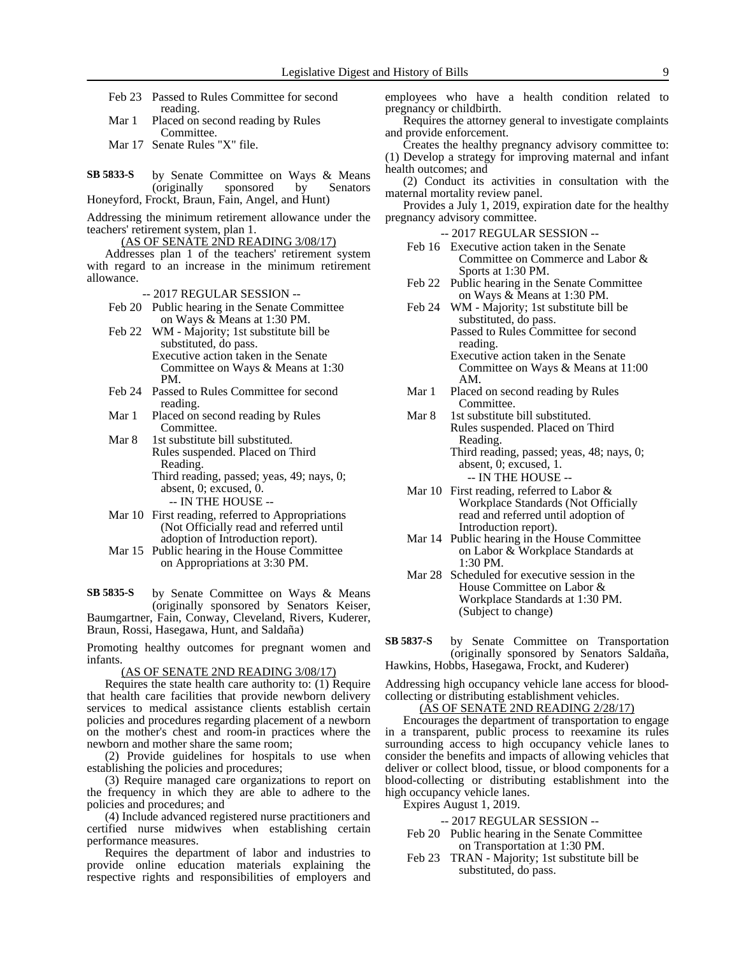- Feb 23 Passed to Rules Committee for second reading.
- Mar 1 Placed on second reading by Rules Committee.
- Mar 17 Senate Rules "X" file.
- by Senate Committee on Ways & Means (originally sponsored by Senators Honeyford, Frockt, Braun, Fain, Angel, and Hunt) **SB 5833-S**

Addressing the minimum retirement allowance under the teachers' retirement system, plan 1.

#### (AS OF SENATE 2ND READING 3/08/17)

Addresses plan 1 of the teachers' retirement system with regard to an increase in the minimum retirement allowance.

- -- 2017 REGULAR SESSION --
- Feb 20 Public hearing in the Senate Committee on Ways & Means at 1:30 PM.
- Feb 22 WM Majority; 1st substitute bill be substituted, do pass. Executive action taken in the Senate Committee on Ways & Means at 1:30 PM.
- Feb 24 Passed to Rules Committee for second reading.
- Mar 1 Placed on second reading by Rules Committee.
- Mar 8 1st substitute bill substituted. Rules suspended. Placed on Third Reading. Third reading, passed; yeas, 49; nays, 0; absent, 0; excused, 0.

-- IN THE HOUSE -- Mar 10 First reading, referred to Appropriations

- (Not Officially read and referred until adoption of Introduction report).
- Mar 15 Public hearing in the House Committee on Appropriations at 3:30 PM.

by Senate Committee on Ways & Means (originally sponsored by Senators Keiser, Baumgartner, Fain, Conway, Cleveland, Rivers, Kuderer, **SB 5835-S**

Braun, Rossi, Hasegawa, Hunt, and Saldaña)

Promoting healthy outcomes for pregnant women and infants.

(AS OF SENATE 2ND READING 3/08/17)

Requires the state health care authority to: (1) Require that health care facilities that provide newborn delivery services to medical assistance clients establish certain policies and procedures regarding placement of a newborn on the mother's chest and room-in practices where the newborn and mother share the same room;

(2) Provide guidelines for hospitals to use when establishing the policies and procedures;

(3) Require managed care organizations to report on the frequency in which they are able to adhere to the policies and procedures; and

(4) Include advanced registered nurse practitioners and certified nurse midwives when establishing certain performance measures.

Requires the department of labor and industries to provide online education materials explaining the respective rights and responsibilities of employers and employees who have a health condition related to pregnancy or childbirth.

- Requires the attorney general to investigate complaints and provide enforcement.
- Creates the healthy pregnancy advisory committee to: (1) Develop a strategy for improving maternal and infant health outcomes; and

(2) Conduct its activities in consultation with the maternal mortality review panel.

Provides a July 1, 2019, expiration date for the healthy pregnancy advisory committee.

-- 2017 REGULAR SESSION --

- Feb 16 Executive action taken in the Senate Committee on Commerce and Labor & Sports at 1:30 PM.
- Feb 22 Public hearing in the Senate Committee on Ways & Means at 1:30 PM.
- Feb 24 WM Majority; 1st substitute bill be substituted, do pass. Passed to Rules Committee for second reading.

Executive action taken in the Senate Committee on Ways & Means at 11:00 AM.

- Mar 1 Placed on second reading by Rules Committee.
- Mar 8 1st substitute bill substituted. Rules suspended. Placed on Third Reading.
	- Third reading, passed; yeas, 48; nays, 0; absent, 0; excused, 1. -- IN THE HOUSE --
- Mar 10 First reading, referred to Labor & Workplace Standards (Not Officially read and referred until adoption of Introduction report).
- Mar 14 Public hearing in the House Committee on Labor & Workplace Standards at 1:30 PM.
- Mar 28 Scheduled for executive session in the House Committee on Labor & Workplace Standards at 1:30 PM. (Subject to change)

by Senate Committee on Transportation (originally sponsored by Senators Saldaña, Hawkins, Hobbs, Hasegawa, Frockt, and Kuderer) **SB 5837-S**

Addressing high occupancy vehicle lane access for bloodcollecting or distributing establishment vehicles.

(AS OF SENATE 2ND READING 2/28/17)

Encourages the department of transportation to engage in a transparent, public process to reexamine its rules surrounding access to high occupancy vehicle lanes to consider the benefits and impacts of allowing vehicles that deliver or collect blood, tissue, or blood components for a blood-collecting or distributing establishment into the high occupancy vehicle lanes.

Expires August 1, 2019.

### -- 2017 REGULAR SESSION --

- Feb 20 Public hearing in the Senate Committee on Transportation at 1:30 PM.
- Feb 23 TRAN Majority; 1st substitute bill be substituted, do pass.